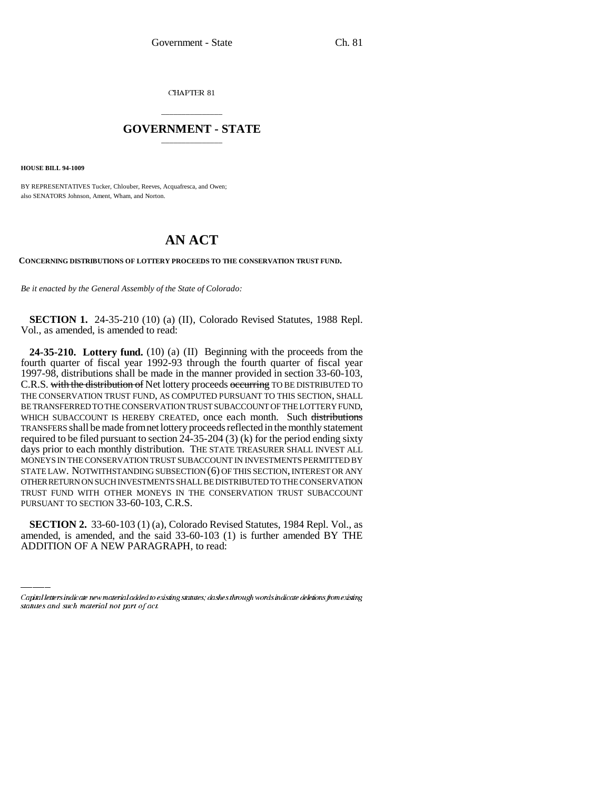CHAPTER 81

## \_\_\_\_\_\_\_\_\_\_\_\_\_\_\_ **GOVERNMENT - STATE** \_\_\_\_\_\_\_\_\_\_\_\_\_\_\_

**HOUSE BILL 94-1009**

BY REPRESENTATIVES Tucker, Chlouber, Reeves, Acquafresca, and Owen; also SENATORS Johnson, Ament, Wham, and Norton.

## **AN ACT**

**CONCERNING DISTRIBUTIONS OF LOTTERY PROCEEDS TO THE CONSERVATION TRUST FUND.**

*Be it enacted by the General Assembly of the State of Colorado:*

**SECTION 1.** 24-35-210 (10) (a) (II), Colorado Revised Statutes, 1988 Repl. Vol., as amended, is amended to read:

**24-35-210. Lottery fund.** (10) (a) (II) Beginning with the proceeds from the fourth quarter of fiscal year 1992-93 through the fourth quarter of fiscal year 1997-98, distributions shall be made in the manner provided in section 33-60-103, C.R.S. with the distribution of Net lottery proceeds occurring TO BE DISTRIBUTED TO THE CONSERVATION TRUST FUND, AS COMPUTED PURSUANT TO THIS SECTION, SHALL BE TRANSFERRED TO THE CONSERVATION TRUST SUBACCOUNT OF THE LOTTERY FUND, WHICH SUBACCOUNT IS HEREBY CREATED, once each month. Such distributions TRANSFERS shall be made from net lottery proceeds reflected in the monthly statement required to be filed pursuant to section  $24-35-204$  (3) (k) for the period ending sixty days prior to each monthly distribution. THE STATE TREASURER SHALL INVEST ALL MONEYS IN THE CONSERVATION TRUST SUBACCOUNT IN INVESTMENTS PERMITTED BY STATE LAW. NOTWITHSTANDING SUBSECTION (6) OF THIS SECTION, INTEREST OR ANY OTHER RETURN ON SUCH INVESTMENTS SHALL BE DISTRIBUTED TO THE CONSERVATION TRUST FUND WITH OTHER MONEYS IN THE CONSERVATION TRUST SUBACCOUNT PURSUANT TO SECTION 33-60-103, C.R.S.

**SECTION 2.** 33-60-103 (1) (a), Colorado Revised Statutes, 1984 Repl. Vol., as amended, is amended, and the said 33-60-103 (1) is further amended BY THE ADDITION OF A NEW PARAGRAPH, to read:

Capital letters indicate new material added to existing statutes; dashes through words indicate deletions from existing statutes and such material not part of act.